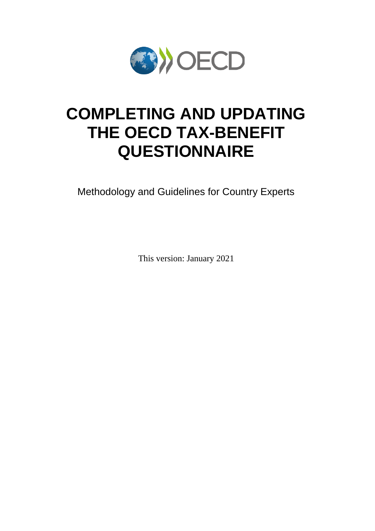

# **COMPLETING AND UPDATING THE OECD TAX-BENEFIT QUESTIONNAIRE**

Methodology and Guidelines for Country Experts

This version: January 2021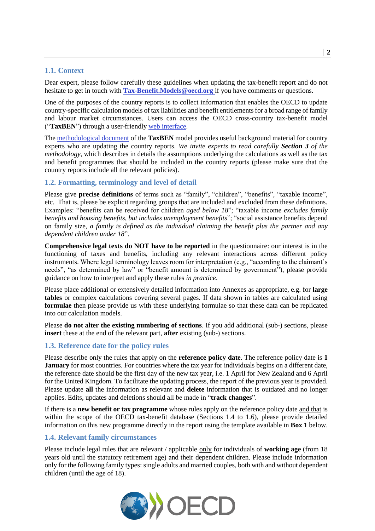## **1.1. Context**

Dear expert, please follow carefully these guidelines when updating the tax-benefit report and do not hesitate to get in touch with **[Tax-Benefit.Models@oecd.org](mailto:Tax-Benefit.Models@oecd.org)** if you have comments or questions.

One of the purposes of the country reports is to collect information that enables the OECD to update country-specific calculation models of tax liabilities and benefit entitlements for a broad range of family and labour market circumstances. Users can access the OECD cross-country tax-benefit model ("**TaxBEN**") through a user-friendly [web interface.](http://www.oecd.org/social/benefits-and-wages/tax-benefit-web-calculator/)

Th[e methodological document](http://www.oecd.org/social/benefits-and-wages/OECD-TaxBEN-methodology-and-manual.pdf) of the **TaxBEN** model provides useful background material for country experts who are updating the country reports. *We invite experts to read carefully Section 3 of the methodology*, which describes in details the assumptions underlying the calculations as well as the tax and benefit programmes that should be included in the country reports (please make sure that the country reports include all the relevant policies).

## **1.2. Formatting, terminology and level of detail**

Please give **precise definitions** of terms such as "family", "children", "benefits", "taxable income", etc. That is, please be explicit regarding groups that are included and excluded from these definitions. Examples: "benefits can be received for children *aged below 18*"; "taxable income *excludes family benefits and housing benefits, but includes unemployment benefits*"; "social assistance benefits depend on family size, *a family is defined as the individual claiming the benefit plus the partner and any dependent children under 18*".

**Comprehensive legal texts do NOT have to be reported** in the questionnaire: our interest is in the functioning of taxes and benefits, including any relevant interactions across different policy instruments. Where legal terminology leaves room for interpretation (e.g., "according to the claimant's needs", "as determined by law" or "benefit amount is determined by government"), please provide guidance on how to interpret and apply these rules *in practice*.

Please place additional or extensively detailed information into Annexes as appropriate, e.g. for **large tables** or complex calculations covering several pages. If data shown in tables are calculated using **formulae** then please provide us with these underlying formulae so that these data can be replicated into our calculation models.

Please **do not alter the existing numbering of sections**. If you add additional (sub-) sections, please **insert** these at the end of the relevant part, **after** existing (sub-) sections.

#### **1.3. Reference date for the policy rules**

Please describe only the rules that apply on the **reference policy date**. The reference policy date is **1 January** for most countries. For countries where the tax year for individuals begins on a different date, the reference date should be the first day of the new tax year, i.e. 1 April for New Zealand and 6 April for the United Kingdom. To facilitate the updating process, the report of the previous year is provided. Please update **all** the information as relevant and **delete** information that is outdated and no longer applies. Edits, updates and deletions should all be made in "**track changes**".

If there is a **new benefit or tax programme** whose rules apply on the reference policy date and that is within the scope of the OECD tax-benefit database (Sections 1.4 to 1.6), please provide detailed information on this new programme directly in the report using the template available in **Box 1** below.

#### **1.4. Relevant family circumstances**

Please include legal rules that are relevant / applicable only for individuals of **working age** (from 18 years old until the statutory retirement age) and their dependent children. Please include information only for the following family types: single adults and married couples, both with and without dependent children (until the age of 18).

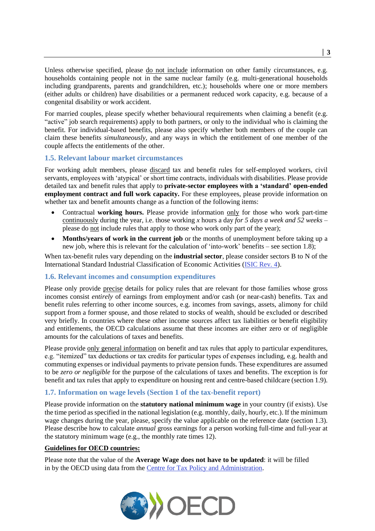Unless otherwise specified, please do not include information on other family circumstances, e.g. households containing people not in the same nuclear family (e.g. multi-generational households including grandparents, parents and grandchildren, etc.); households where one or more members (either adults or children) have disabilities or a permanent reduced work capacity, e.g. because of a congenital disability or work accident.

For married couples, please specify whether behavioural requirements when claiming a benefit (e.g. "active" job search requirements) apply to both partners, or only to the individual who is claiming the benefit. For individual-based benefits, please also specify whether both members of the couple can claim these benefits *simultaneously*, and any ways in which the entitlement of one member of the couple affects the entitlements of the other.

## **1.5. Relevant labour market circumstances**

For working adult members, please discard tax and benefit rules for self-employed workers, civil servants, employees with 'atypical' or short time contracts, individuals with disabilities. Please provide detailed tax and benefit rules that apply to **private-sector employees with a 'standard' open-ended employment contract and full work capacity.** For these employees, please provide information on whether tax and benefit amounts change as a function of the following items:

- Contractual **working hours.** Please provide information only for those who work part-time continuously during the year, i.e. those working *x* hours a day *for 5 days a week and 52 weeks* – please do not include rules that apply to those who work only part of the year);
- **Months/years of work in the current job** or the months of unemployment before taking up a new job, where this is relevant for the calculation of 'into-work' benefits – see section 1.8);

When tax-benefit rules vary depending on the **industrial sector**, please consider sectors B to N of the International Standard Industrial Classification of Economic Activities [\(ISIC Rev. 4\)](https://unstats.un.org/unsd/classifications/Econ/Download/In%20Text/ISIC_Rev_4_publication_English.pdf).

## **1.6. Relevant incomes and consumption expenditures**

Please only provide precise details for policy rules that are relevant for those families whose gross incomes consist *entirely* of earnings from employment and/or cash (or near-cash) benefits. Tax and benefit rules referring to other income sources, e.g. incomes from savings, assets, alimony for child support from a former spouse, and those related to stocks of wealth, should be excluded or described very briefly. In countries where these other income sources affect tax liabilities or benefit eligibility and entitlements, the OECD calculations assume that these incomes are either zero or of negligible amounts for the calculations of taxes and benefits.

Please provide only general information on benefit and tax rules that apply to particular expenditures, e.g. "itemized" tax deductions or tax credits for particular types of expenses including, e.g. health and commuting expenses or individual payments to private pension funds. These expenditures are assumed to be *zero or negligible* for the purpose of the calculations of taxes and benefits. The exception is for benefit and tax rules that apply to expenditure on housing rent and centre-based childcare (section [1.9\)](#page-4-0).

#### **1.7. Information on wage levels (Section 1 of the tax-benefit report)**

Please provide information on the **statutory national minimum wage** in your country (if exists). Use the time period as specified in the national legislation (e.g. monthly, daily, hourly, etc.). If the minimum wage changes during the year, please, specify the value applicable on the reference date (section 1.3). Please describe how to calculate *annual* gross earnings for a person working full-time and full-year at the statutory minimum wage (e.g., the monthly rate times 12).

#### **Guidelines for OECD countries:**

Please note that the value of the **Average Wage does not have to be updated**: it will be filled in by the OECD using data from the [Centre for Tax Policy](http://www.oecd.org/ctp/) and Administration.

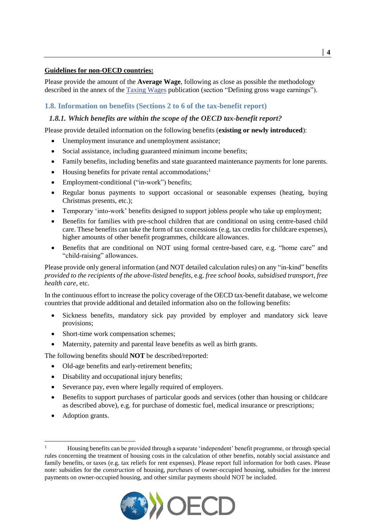## **Guidelines for non-OECD countries:**

Please provide the amount of the **Average Wage**, following as close as possible the methodology described in the annex of the [Taxing Wages](http://www.oecd.org/tax/tax-policy/taxing-wages-methodology.pdf) publication (section "Defining gross wage earnings").

## **1.8. Information on benefits (Sections 2 to 6 of the tax-benefit report)**

## *1.8.1. Which benefits are within the scope of the OECD tax-benefit report?*

Please provide detailed information on the following benefits (**existing or newly introduced**):

- Unemployment insurance and unemployment assistance;
- Social assistance, including guaranteed minimum income benefits;
- Family benefits, including benefits and state guaranteed maintenance payments for lone parents.
- Housing benefits for private rental accommodations;<sup>1</sup>
- Employment-conditional ("in-work") benefits;
- Regular bonus payments to support occasional or seasonable expenses (heating, buying Christmas presents, etc.);
- Temporary 'into-work' benefits designed to support jobless people who take up employment;
- Benefits for families with pre-school children that are conditional on using centre-based child care. These benefits can take the form of tax concessions (e.g. tax credits for childcare expenses), higher amounts of other benefit programmes, childcare allowances.
- Benefits that are conditional on NOT using formal centre-based care, e.g. "home care" and "child-raising" allowances.

Please provide only general information (and NOT detailed calculation rules) on any "in-kind" benefits *provided to the recipients of the above-listed benefits*, e.g. *free school books, subsidised transport, free health care*, etc.

In the continuous effort to increase the policy coverage of the OECD tax-benefit database, we welcome countries that provide additional and detailed information also on the following benefits:

- Sickness benefits, mandatory sick pay provided by employer and mandatory sick leave provisions;
- Short-time work compensation schemes;
- Maternity, paternity and parental leave benefits as well as birth grants.

The following benefits should **NOT** be described/reported:

- Old-age benefits and early-retirement benefits;
- Disability and occupational injury benefits;
- Severance pay, even where legally required of employers.
- Benefits to support purchases of particular goods and services (other than housing or childcare as described above), e.g. for purchase of domestic fuel, medical insurance or prescriptions;
- Adoption grants.

l

<sup>1</sup> Housing benefits can be provided through a separate 'independent' benefit programme, or through special rules concerning the treatment of housing costs in the calculation of other benefits, notably social assistance and family benefits, or taxes (e.g. tax reliefs for rent expenses). Please report full information for both cases. Please note: subsidies for the *construction* of housing, *purchases* of owner-occupied housing, subsidies for the interest payments on owner-occupied housing, and other similar payments should NOT be included.

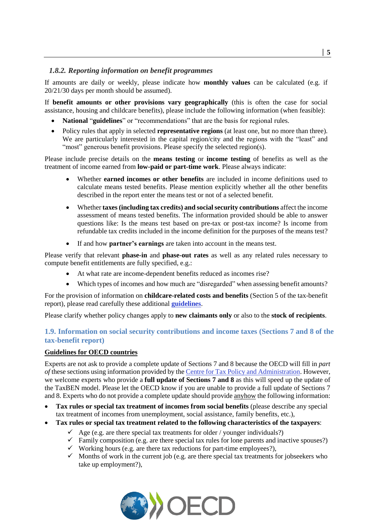## *1.8.2. Reporting information on benefit programmes*

If amounts are daily or weekly, please indicate how **monthly values** can be calculated (e.g. if 20/21/30 days per month should be assumed).

If **benefit amounts or other provisions vary geographically** (this is often the case for social assistance, housing and childcare benefits), please include the following information (when feasible):

- **National** "**guidelines**" or "recommendations" that are the basis for regional rules.
- Policy rules that apply in selected **representative regions** (at least one, but no more than three). We are particularly interested in the capital region/city and the regions with the "least" and "most" generous benefit provisions. Please specify the selected region(s).

Please include precise details on the **means testing** or **income testing** of benefits as well as the treatment of income earned from **low-paid or part-time work**. Please always indicate:

- Whether **earned incomes or other benefits** are included in income definitions used to calculate means tested benefits. Please mention explicitly whether all the other benefits described in the report enter the means test or not of a selected benefit.
- Whether **taxes(including tax credits) and social security contributions** affect the income assessment of means tested benefits. The information provided should be able to answer questions like: Is the means test based on pre-tax or post-tax income? Is income from refundable tax credits included in the income definition for the purposes of the means test?
- If and how **partner's earnings** are taken into account in the means test.

Please verify that relevant **phase-in** and **phase-out rates** as well as any related rules necessary to compute benefit entitlements are fully specified, e.g.:

- At what rate are income-dependent benefits reduced as incomes rise?
- Which types of incomes and how much are "disregarded" when assessing benefit amounts?

For the provision of information on **childcare-related costs and benefits** (Section 5 of the tax-benefit report), please read carefully these additional **[guidelines](https://taxben.oecd.org/tax-ben-resources/Calculating-Net-Childcare-Costs-Guidelines-for-Experts.pdf)**.

Please clarify whether policy changes apply to **new claimants only** or also to the **stock of recipients**.

## <span id="page-4-0"></span>**1.9. Information on social security contributions and income taxes (Sections 7 and 8 of the tax-benefit report)**

## **Guidelines for OECD countries**

Experts are not ask to provide a complete update of Sections 7 and 8 because the OECD will fill in *part of* these sections using information provided by the [Centre for Tax Policy and Administration.](http://www.oecd.org/ctp/) However, we welcome experts who provide a **full update of Sections 7 and 8** as this will speed up the update of the TaxBEN model. Please let the OECD know if you are unable to provide a full update of Sections 7 and 8. Experts who do not provide a complete update should provide anyhow the following information:

- **Tax rules or special tax treatment of incomes from social benefits** (please describe any special tax treatment of incomes from unemployment, social assistance, family benefits, etc.),
- **Tax rules or special tax treatment related to the following characteristics of the taxpayers**:
	- $\checkmark$  Age (e.g. are there special tax treatments for older / younger individuals?)
	- $\checkmark$  Family composition (e.g. are there special tax rules for lone parents and inactive spouses?)
	- $\checkmark$  Working hours (e.g. are there tax reductions for part-time employees?),
	- $\checkmark$  Months of work in the current job (e.g. are there special tax treatments for jobseekers who take up employment?),

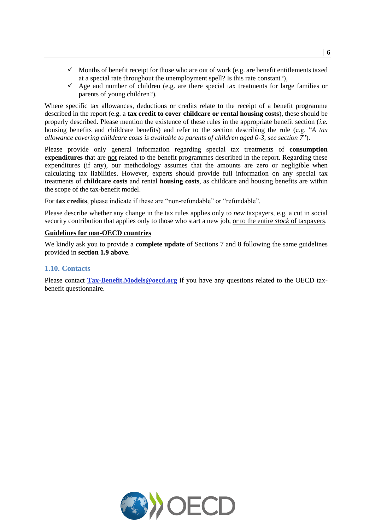- $\checkmark$  Months of benefit receipt for those who are out of work (e.g. are benefit entitlements taxed at a special rate throughout the unemployment spell? Is this rate constant?),
- $\checkmark$  Age and number of children (e.g. are there special tax treatments for large families or parents of young children?).

Where specific tax allowances, deductions or credits relate to the receipt of a benefit programme described in the report (e.g. a **tax credit to cover childcare or rental housing costs**), these should be properly described. Please mention the existence of these rules in the appropriate benefit section (*i.e.* housing benefits and childcare benefits) and refer to the section describing the rule (e.g. "*A tax allowance covering childcare costs is available to parents of children aged 0-3, see section 7*").

Please provide only general information regarding special tax treatments of **consumption expenditures** that are not related to the benefit programmes described in the report. Regarding these expenditures (if any), our methodology assumes that the amounts are zero or negligible when calculating tax liabilities. However, experts should provide full information on any special tax treatments of **childcare costs** and rental **housing costs**, as childcare and housing benefits are within the scope of the tax-benefit model.

For **tax credits**, please indicate if these are "non-refundable" or "refundable".

Please describe whether any change in the tax rules applies only to *new* taxpayers, e.g. a cut in social security contribution that applies only to those who start a new job, or to the entire *stock* of taxpayers.

#### **Guidelines for non-OECD countries**

We kindly ask you to provide a **complete update** of Sections 7 and 8 following the same guidelines provided in **section 1.9 above**.

#### **1.10. Contacts**

Please contact **[Tax-Benefit.Models@oecd.org](mailto:Tax-Benefit.Models@oecd.org)** if you have any questions related to the OECD taxbenefit questionnaire.